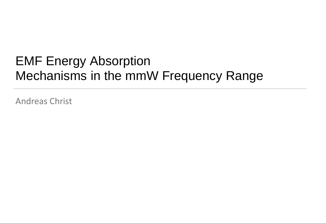# EMF Energy Absorption Mechanisms in the mmW Frequency Range

Andreas Christ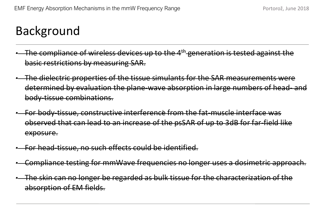## Background

- The compliance of wireless devices up to the 4<sup>th</sup> generation is tested against the basic restrictions by measuring SAR.
- The dielectric properties of the tissue simulants for the SAR measurements were determined by evaluation the plane-wave absorption in large numbers of head- and body-tissue combinations.
- · For body-tissue, constructive interference from the fat-muscle interface was observed that can lead to an increase of the psSAR of up to 3dB for far-field like exposure.
- For head-tissue, no such effects could be identified.
- Compliance testing for mmWave frequencies no longer uses a dosimetric approach.
- The skin can no longer be regarded as bulk tissue for the characterization of the absorption of EM fields.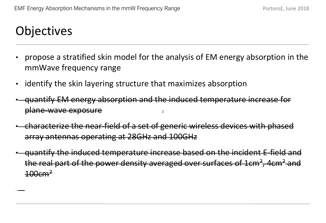## **Objectives**

- propose a stratified skin model for the analysis of EM energy absorption in the mmWave frequency range
- identify the skin layering structure that maximizes absorption
- quantify EM energy absorption and the induced temperature increase for plane-wave exposure ž
- characterize the near-field of a set of generic wireless devices with phased array antennas operating at 28GHz and 100GHz
- quantify the induced temperature increase based on the incident E-field and the real part of the power density averaged over surfaces of 1cm<sup>2</sup>, 4cm<sup>2</sup> and  $100cm<sup>2</sup>$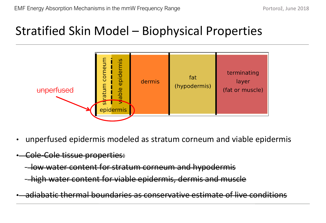### Stratified Skin Model – Biophysical Properties



- unperfused epidermis modeled as stratum corneum and viable epidermis
- Cole-Cole tissue properties:
	- low water content for stratum corneum and hypodermis
	- high water content for viable epidermis, dermis and muscle
- adiabatic thermal boundaries as conservative estimate of live conditions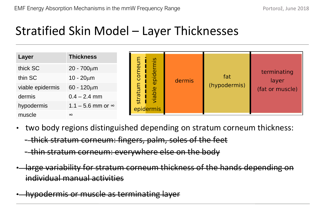### Stratified Skin Model – Layer Thicknesses

| Layer            | <b>Thickness</b>           | $\overline{\Phi}$<br>ē<br>등<br>5 <sup>th</sup> | ain<br>epider<br>viable | dermis | fat<br>(hypodermis) | terminating<br>layer<br>(fat or muscle) |
|------------------|----------------------------|------------------------------------------------|-------------------------|--------|---------------------|-----------------------------------------|
| thick SC         | $20 - 700 \mu m$           |                                                |                         |        |                     |                                         |
| thin SC          | $10 - 20 \mu m$            |                                                |                         |        |                     |                                         |
| viable epidermis | $60 - 120 \mu m$           |                                                |                         |        |                     |                                         |
| dermis           | $0.4 - 2.4$ mm             |                                                |                         |        |                     |                                         |
| hypodermis       | $1.1 - 5.6$ mm or $\infty$ |                                                | epidermis               |        |                     |                                         |
| muscle           | $\infty$                   |                                                |                         |        |                     |                                         |

- two body regions distinguished depending on stratum corneum thickness: - thick stratum corneum: fingers, palm, soles of the feet
	- thin stratum corneum: everywhere else on the body
- large variability for stratum corneum thickness of the hands depending on individual manual activities
- hypodermis or muscle as terminating layer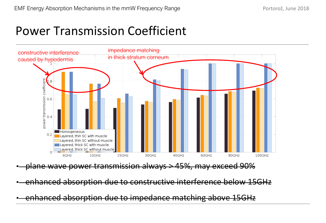### Power Transmission Coefficient



• enhanced absorption due to impedance matching above 15GHz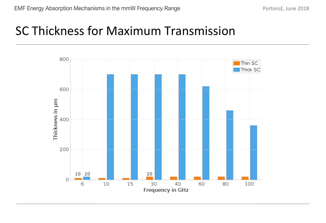### SC Thickness for Maximum Transmission

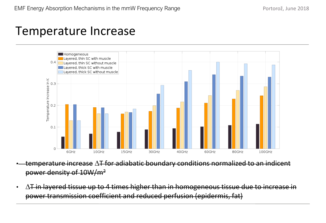### Temperature Increase



• temperature increase ∆T for adiabatic boundary conditions normalized to an indicent power density of 10W/m2

• ∆T in layered tissue up to 4 times higher than in homogeneous tissue due to increase in power transmission coefficient and reduced perfusion (epidermis, fat)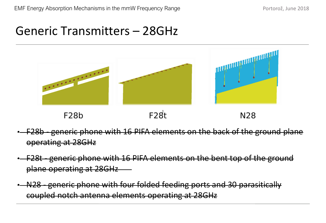### Generic Transmitters – 28GHz



F<sub>28</sub>b



N28

- F28b generic phone with 16 PIFA elements on the back of the ground plane operating at 28GHz
- F28t generic phone with 16 PIFA elements on the bent top of the ground plane operating at 28GHz
- N28 generic phone with four folded feeding ports and 30 parasitically coupled notch antenna elements operating at 28GHz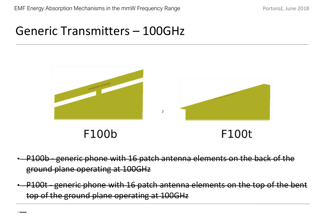### Generic Transmitters – 100GHz



#### F100b

F100t

- P100b generic phone with 16 patch antenna elements on the back of the ground plane operating at 100GHz
- P100t generic phone with 16 patch antenna elements on the top of the bent top of the ground plane operating at 100GHz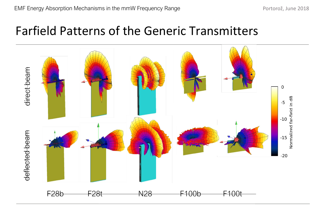### Farfield Patterns of the Generic Transmitters

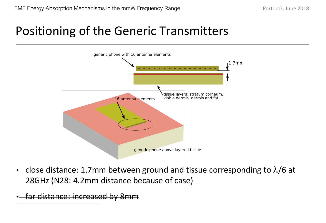## Positioning of the Generic Transmitters



• close distance: 1.7mm between ground and tissue corresponding to  $\lambda/6$  at 28GHz (N28: 4.2mm distance because of case)

• far distance: increased by 8mm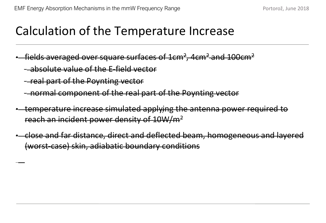### Calculation of the Temperature Increase

fields averaged over square surfaces of  $1 \text{cm}^2$ ,  $4 \text{cm}^2$  and  $100 \text{cm}^2$ 

- absolute value of the E-field vector
- real part of the Poynting vector
- normal component of the real part of the Poynting vector
- temperature increase simulated applying the antenna power required to reach an incident power density of 10W/m2
- close and far distance, direct and deflected beam, homogeneous and layered (worst-case) skin, adiabatic boundary conditions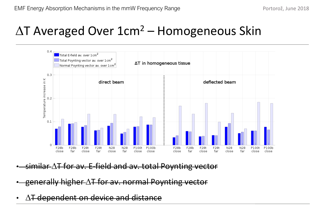## $\Delta T$  Averaged Over 1cm<sup>2</sup> – Homogeneous Skin



- similar ∆T for av. E-field and av. total Poynting vector
- generally higher ∆T for av. normal Poynting vector
- ∆<del>T dependent on device and distance</del>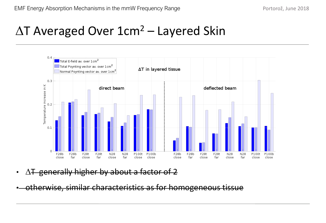## ∆T Averaged Over 1cm2 – Layered Skin



- ∆T generally higher by about a factor of 2
- otherwise, similar characteristics as for homogeneous tissue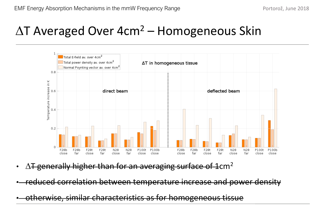## $\Delta T$  Averaged Over 4cm<sup>2</sup> – Homogeneous Skin



- $\Delta$ T generally higher than for an averaging surface of 1 cm<sup>2</sup>
- reduced correlation between temperature increase and power density

• otherwise, similar characteristics as for homogeneous tissue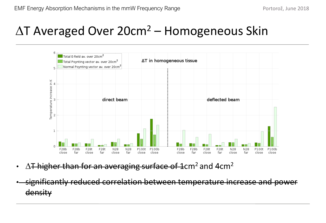## ∆T Averaged Over 20cm2 – Homogeneous Skin



- $\Delta$ T higher than for an averaging surface of 1 cm<sup>2</sup> and 4 cm<sup>2</sup>
- significantly reduced correlation between temperature increase and power density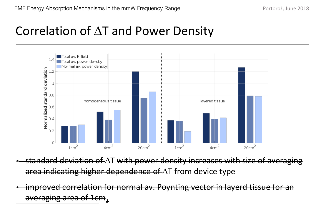### Correlation of ∆T and Power Density



- standard deviation of ∆T with power density increases with size of averaging area indicating higher dependence of ∆T from device type
- improved correlation for normal av. Poynting vector in layerd tissue for an averaging area of  $1 \text{cm}_2$